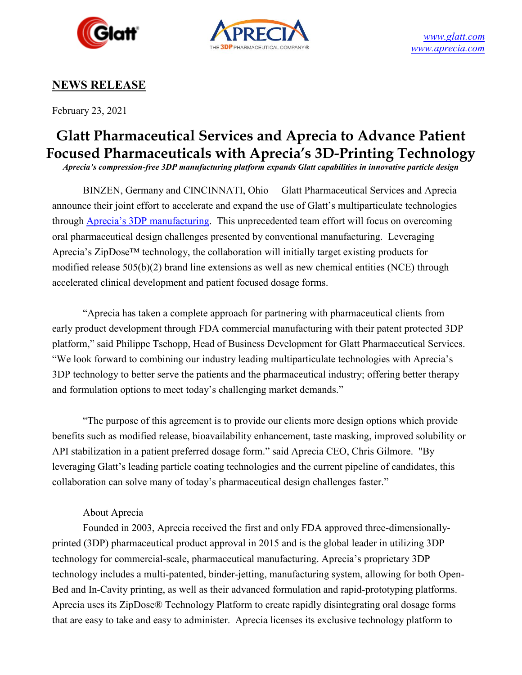



# **NEWS RELEASE**

February 23, 2021

# **Glatt Pharmaceutical Services and Aprecia to Advance Patient Focused Pharmaceuticals with Aprecia's 3D-Printing Technology**

*Aprecia's compression-free 3DP manufacturing platform expands Glatt capabilities in innovative particle design*

BINZEN, Germany and CINCINNATI, Ohio —Glatt Pharmaceutical Services and Aprecia announce their joint effort to accelerate and expand the use of Glatt's multiparticulate technologies through Aprecia's [3DP manufacturing.](https://bit.ly/3sh3n7h) This unprecedented team effort will focus on overcoming oral pharmaceutical design challenges presented by conventional manufacturing. Leveraging Aprecia's ZipDose™ technology, the collaboration will initially target existing products for modified release 505(b)(2) brand line extensions as well as new chemical entities (NCE) through accelerated clinical development and patient focused dosage forms.

"Aprecia has taken a complete approach for partnering with pharmaceutical clients from early product development through FDA commercial manufacturing with their patent protected 3DP platform," said Philippe Tschopp, Head of Business Development for Glatt Pharmaceutical Services. "We look forward to combining our industry leading multiparticulate technologies with Aprecia's 3DP technology to better serve the patients and the pharmaceutical industry; offering better therapy and formulation options to meet today's challenging market demands."

"The purpose of this agreement is to provide our clients more design options which provide benefits such as modified release, bioavailability enhancement, taste masking, improved solubility or API stabilization in a patient preferred dosage form." said Aprecia CEO, Chris Gilmore. "By leveraging Glatt's leading particle coating technologies and the current pipeline of candidates, this collaboration can solve many of today's pharmaceutical design challenges faster."

## About Aprecia

Founded in 2003, Aprecia received the first and only FDA approved three-dimensionallyprinted (3DP) pharmaceutical product approval in 2015 and is the global leader in utilizing 3DP technology for commercial-scale, pharmaceutical manufacturing. Aprecia's proprietary 3DP technology includes a multi-patented, binder-jetting, manufacturing system, allowing for both Open-Bed and In-Cavity printing, as well as their advanced formulation and rapid-prototyping platforms. Aprecia uses its ZipDose® Technology Platform to create rapidly disintegrating oral dosage forms that are easy to take and easy to administer. Aprecia licenses its exclusive technology platform to